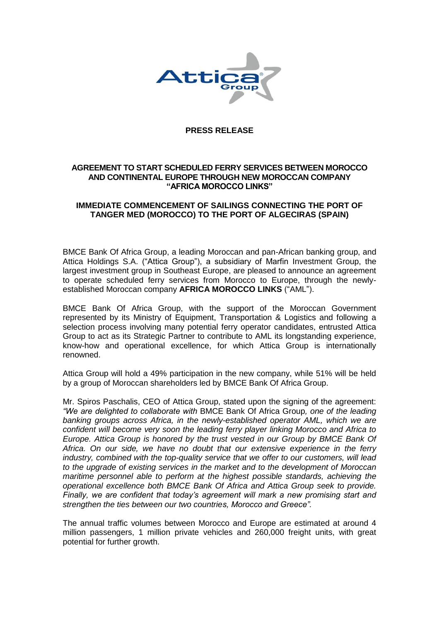

## **PRESS RELEASE**

# **AGREEMENT TO START SCHEDULED FERRY SERVICES BETWEEN MOROCCO AND CONTINENTAL EUROPE THROUGH NEW MOROCCAN COMPANY "AFRICA MOROCCO LINKS"**

# **IMMEDIATE COMMENCEMENT OF SAILINGS CONNECTING THE PORT OF TANGER MED (MOROCCO) TO THE PORT OF ALGECIRAS (SPAIN)**

BMCE Bank Of Africa Group, a leading Moroccan and pan-African banking group, and Attica Holdings S.A. ("Attica Group"), a subsidiary of Marfin Investment Group, the largest investment group in Southeast Europe, are pleased to announce an agreement to operate scheduled ferry services from Morocco to Europe, through the newlyestablished Moroccan company **AFRICA MOROCCO LINKS** ("AML").

BMCE Bank Of Africa Group, with the support of the Moroccan Government represented by its Ministry of Equipment, Transportation & Logistics and following a selection process involving many potential ferry operator candidates, entrusted Attica Group to act as its Strategic Partner to contribute to AML its longstanding experience, know-how and operational excellence, for which Attica Group is internationally renowned.

Attica Group will hold a 49% participation in the new company, while 51% will be held by a group of Moroccan shareholders led by BMCE Bank Of Africa Group.

Mr. Spiros Paschalis, CEO of Attica Group, stated upon the signing of the agreement: *"We are delighted to collaborate with* BMCE Bank Of Africa Group*, one of the leading banking groups across Africa, in the newly-established operator AML, which we are confident will become very soon the leading ferry player linking Morocco and Africa to Europe. Attica Group is honored by the trust vested in our Group by BMCE Bank Of Africa. On our side, we have no doubt that our extensive experience in the ferry industry, combined with the top-quality service that we offer to our customers, will lead to the upgrade of existing services in the market and to the development of Moroccan maritime personnel able to perform at the highest possible standards, achieving the operational excellence both BMCE Bank Of Africa and Attica Group seek to provide. Finally, we are confident that today's agreement will mark a new promising start and strengthen the ties between our two countries, Morocco and Greece".*

The annual traffic volumes between Morocco and Europe are estimated at around 4 million passengers, 1 million private vehicles and 260,000 freight units, with great potential for further growth.